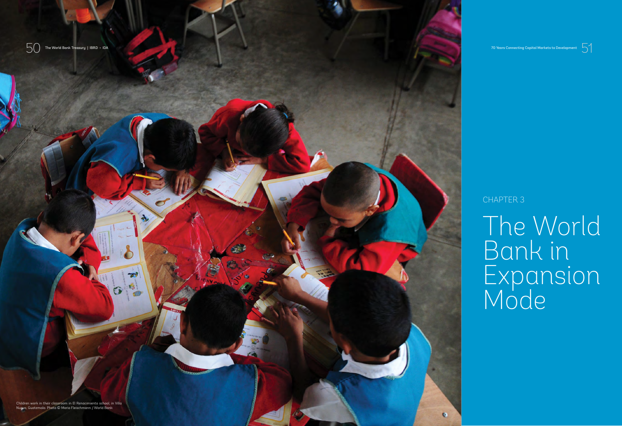

 $50$  The World Bank Treasury | IBRD • IDA

# CHAPTER 3

# The World Bank in Expansion Mode

Children work in their classroom in El Renacimiento school, in Villa Nueva, Guatemala. Photo © Maria Fleischmann / World Bank

 $\rightarrow$ **Koop** 



70 Years Connecting Capital Markets to Development

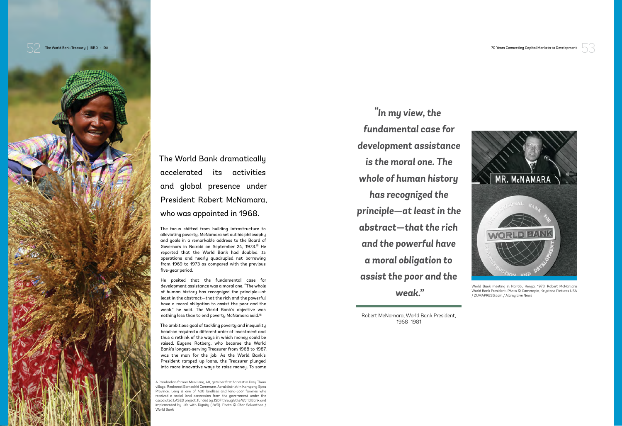



The World Bank dramatically accelerated its activities and global presence under President Robert McNamara, who was appointed in 1968.

The focus shifted from building infrastructure to alleviating poverty. McNamara set out his philosophy and goals in a remarkable address to the Board of Governors in Nairobi on September 24, 1973.15 He reported that the World Bank had doubled its operations and nearly quadrupled net borrowing from 1969 to 1973 as compared with the previous five-year period.

He posited that the fundamental case for development assistance was a moral one. "The whole of human history has recognized the principle—at least in the abstract—that the rich and the powerful have a moral obligation to assist the poor and the weak," he said. The World Bank's objective was nothing less than to end poverty McNamara said.16

The ambitious goal of tackling poverty and inequality head-on required a different order of investment and thus a rethink of the ways in which money could be raised. Eugene Rotberg, who became the World Bank's longest-serving Treasurer from 1968 to 1987, was the man for the job. As the World Bank's President ramped up loans, the Treasurer plunged into more innovative ways to raise money. To some



World Bank meeting in Nairobi, Kenya, 1973, Robert McNamara World Bank President. Photo © Camerapix, Keystone Pictures USA / ZUMAPRESS.com / Alamy Live News

1968–1981

*"In my view, the fundamental case for development assistance is the moral one. The whole of human history has recognized the principle—at least in the abstract—that the rich and the powerful have a moral obligation to assist the poor and the weak."* 

A Cambodian farmer Men Leng, 40, gets her first harvest in Prey Thom village, Reaksmei Sameakki Commune, Aoral district in Kampong Speu Province. Leng is one of 400 landless and land-poor families who received a social land concession from the government under the associated LASED project, funded by JSDF through the World Bank and implemented by Life with Dignity (LWD). Photo © Chor Sokunthea / World Bank

Robert McNamara, World Bank President,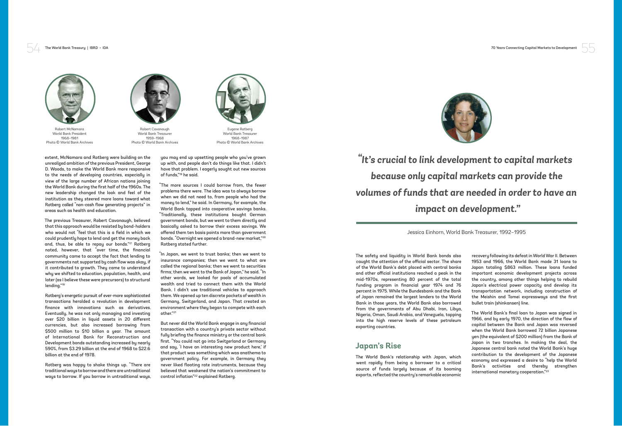



extent, McNamara and Rotberg were building on the unrealized ambition of the previous President, George D. Woods, to make the World Bank more responsive to the needs of developing countries, especially in view of the large number of African nations joining the World Bank during the first half of the 1960s. The new leadership changed the look and feel of the institution as they steered more loans toward what Rotberg called "non-cash flow generating projects" in areas such as health and education.

The previous Treasurer, Robert Cavanaugh, believed that this approach would be resisted by bond-holders who would not "feel that this is a field in which we could prudently hope to lend and get the money back and, thus, be able to repay our bonds."17 Rotberg noted, however, that "over time, the financial community came to accept the fact that lending to governments not supported by cash flow was okay, if it contributed to growth. They came to understand why we shifted to education, population, health, and later (as I believe these were precursors) to structural lending."18

"In Japan, we went to trust banks; then we went to insurance companies; then we went to what are called the regional banks; then we went to securities firms; then we went to the Bank of Japan," he said. "In other words, we looked for pools of accumulated wealth and tried to connect them with the World Bank. I didn't use traditional vehicles to approach them. We opened up ten discrete pockets of wealth in Germany, Switzerland, and Japan. That created an environment where they began to compete with each other."<sup>21</sup>

Rotberg's energetic pursuit of ever-more sophisticated transactions heralded a revolution in development finance with innovations such as derivatives. Eventually, he was not only managing and investing over \$20 billion in liquid assets in 20 different currencies, but also increased borrowing from \$500 million to \$10 billion a year. The amount of International Bank for Reconstruction and Development bonds outstanding increased by nearly 590%, from \$3.29 billion at the end of 1968 to \$22.6 billion at the end of 1978.

Rotberg was happy to shake things up. "There are traditional ways to borrow and there are untraditional ways to borrow. If you borrow in untraditional ways, you may end up upsetting people who you've grown up with, and people don't do things like that. I didn't have that problem. I eagerly sought out new sources of funds,"19 he said.

"The more sources I could borrow from, the fewer problems there were. The idea was to always borrow when we did not need to, from people who had the money to lend," he said. In Germany, for example, the World Bank tapped into cooperative savings banks. "Traditionally, these institutions bought German government bonds, but we went to them directly and basically asked to borrow their excess savings. We offered them ten basis points more than government bonds. "Overnight we opened a brand-new market,"<sup>20</sup> Rotberg stated further.

But never did the World Bank engage in any financial transaction with a country's private sector without fully briefing the finance ministry or the central bank first. "You could not go into Switzerland or Germany and say, 'I have an interesting new product here,' if that product was something which was anathema to government policy. For example, in Germany they never liked floating rate instruments, because they believed that weakened the nation's commitment to control inflation"22 explained Rotberg.

The safety and liquidity in World Bank bonds also caught the attention of the official sector. The share of the World Bank's debt placed with central banks and other official institutions reached a peak in the mid-1970s, representing 80 percent of the total funding program in financial year 1974 and 76 percent in 1975. While the Bundesbank and the Bank of Japan remained the largest lenders to the World Bank in those years, the World Bank also borrowed from the governments of Abu Dhabi, Iran, Libya, Nigeria, Oman, Saudi Arabia, and Venezuela, tapping into the high reserve levels of these petroleum exporting countries.

### **Japan's Rise**

The World Bank's relationship with Japan, which went rapidly from being a borrower to a critical source of funds largely because of its booming exports, reflected the country's remarkable economic

The World Bank Treasury | IBRD • IDA 70 Years Connecting Capital Markets to Development

recovery following its defeat in World War II. Between 1953 and 1966, the World Bank made 31 loans to Japan totaling \$863 million. These loans funded important economic development projects across the country, among other things helping to rebuild Japan's electrical power capacity and develop its transportation network, including construction of the Meishin and Tomei expressways and the first bullet train (shinkansen) line.

The World Bank's final loan to Japan was signed in 1966, and by early 1970, the direction of the flow of capital between the Bank and Japan was reversed when the World Bank borrowed 72 billion Japanese yen (the equivalent of \$200 million) from the Bank of Japan in two tranches. In making the deal, the Japanese central bank noted the World Bank's huge contribution to the development of the Japanese economy and expressed a desire to "help the World Bank's activities and thereby strengthen international monetary cooperation."23



Robert McNamara World Bank President 1968–1981 Photo © World Bank Archives



Robert Cavanaugh World Bank Treasurer 1959–1968 Photo © World Bank Archives



Eugene Rotberg World Bank Treasurer 1968–1987 Photo © World Bank Archives

Jessica Einhorn, World Bank Treasurer, 1992–1995

## *"It's crucial to link development to capital markets because only capital markets can provide the volumes of funds that are needed in order to have an impact on development."*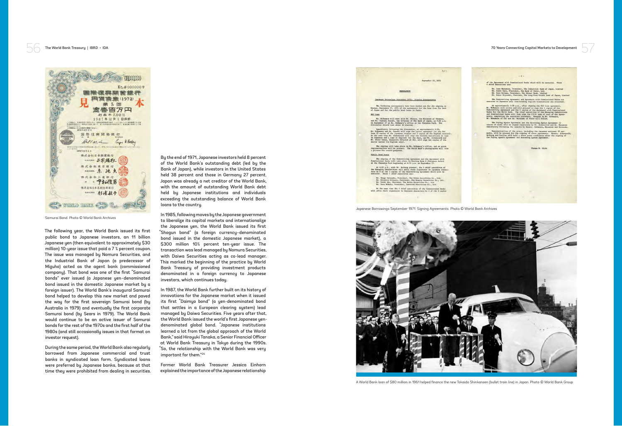57

of the Agreement with Commissioned Banks which will be executed. These

 $-2-$ 

Thomas M. Clyde

The following year, the World Bank issued its first public bond to Japanese investors, an 11 billion Japanese yen (then equivalent to approximately \$30 million) 10-year issue that paid a 7 ¾ percent coupon. The issue was managed by Nomura Securities, and the Industrial Bank of Japan (a predecessor of Mizuho) acted as the agent bank (commissioned company). That bond was one of the first "Samurai bonds" ever issued (a Japanese yen–denominated bond issued in the domestic Japanese market by a foreign issuer). The World Bank's inaugural Samurai bond helped to develop this new market and paved the way for the first sovereign Samurai bond (by Australia in 1979) and eventually the first corporate Samurai bond (by Sears in 1979). The World Bank would continue to be an active issuer of Samurai bonds for the rest of the 1970s and the first half of the 1980s (and still occasionally issues in that format on investor request).

During the same period, the World Bank also regularly borrowed from Japanese commercial and trust banks in syndicated loan form. Syndicated loans were preferred by Japanese banks, because at that time they were prohibited from dealing in securities. By the end of 1971, Japanese investors held 8 percent of the World Bank's outstanding debt (led by the Bank of Japan), while investors in the United States held 38 percent and those in Germany 27 percent. Japan was already a net creditor of the World Bank, with the amount of outstanding World Bank debt held by Japanese institutions and individuals exceeding the outstanding balance of World Bank loans to the country.

In 1985, following moves by the Japanese government to liberalize its capital markets and internationalize the Japanese yen, the World Bank issued its first "Shogun bond" (a foreign currency–denominated bond issued in the domestic Japanese market), a \$300 million 10½ percent ten-year issue. The transaction was lead managed by Nomura Securities, with Daiwa Securities acting as co-lead manager. This marked the beginning of the practice by World Bank Treasury of providing investment products denominated in a foreign currency to Japanese investors, which continues today.

In 1987, the World Bank further built on its history of innovations for the Japanese market when it issued its first "Daimyo bond" (a yen-denominated bond that settles in a European clearing system) lead managed by Daiwa Securities. Five years after that, the World Bank issued the world's first Japanese yendenominated global bond. "Japanese institutions learned a lot from the global approach of the World Bank," said Hiroyuki Tanaka, a Senior Financial Officer at World Bank Treasury in Tokyo during the 1990s. "So, the relationship with the World Bank was very important for them."24

Former World Bank Treasurer Jessica Einhorn explained the importance of the Japanese relationship



Public Bond Issue

At the same time the 4 chief executives of the Commissioned Banks<br>will affix their signatures in Japanese characters to 4 of the 5 copies

Japanese Borrowings September 1971: Signing Agreements. Photo © World Bank Archives



A World Bank loan of \$80 million in 1961 helped finance the new Tokaido Shinkansen (bullet train line) in Japan. Photo © World Bank Group

## The World Bank Treasury | IBRD • IDA 70 Years Connecting Capital Markets to Development



Samurai Bond. Photo © World Bank Archives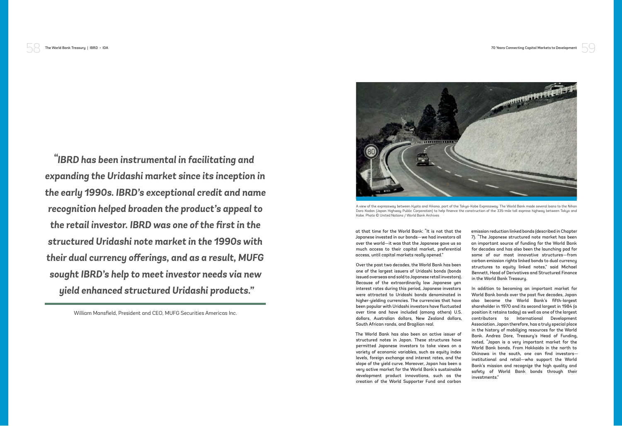59

at that time for the World Bank: "It is not that the Japanese invested in our bonds—we had investors all over the world—it was that the Japanese gave us so much access to their capital market, preferential access, until capital markets really opened."

Over the past two decades, the World Bank has been one of the largest issuers of Uridashi bonds (bonds issued overseas and sold to Japanese retail investors). Because of the extraordinarily low Japanese yen interest rates during this period, Japanese investors were attracted to Uridashi bonds denominated in higher-yielding currencies. The currencies that have been popular with Uridashi investors have fluctuated over time and have included (among others) U.S. dollars, Australian dollars, New Zealand dollars, South African rands, and Brazilian real.

The World Bank has also been an active issuer of structured notes in Japan. These structures have permitted Japanese investors to take views on a variety of economic variables, such as equity index levels, foreign exchange and interest rates, and the slope of the yield curve. Moreover, Japan has been a very active market for the World Bank's sustainable development product innovations, such as the creation of the World Supporter Fund and carbon

The World Bank Treasury | IBRD • IDA 70 Years Connecting Capital Markets to Development

emission reduction linked bonds (described in Chapter 7). "The Japanese structured note market has been an important source of funding for the World Bank for decades and has also been the launching pad for some of our most innovative structures—from carbon emission rights linked bonds to dual currency structures to equity linked notes," said Michael Bennett, Head of Derivatives and Structured Finance in the World Bank Treasury.

In addition to becoming an important market for World Bank bonds over the past five decades, Japan also became the World Bank's fifth-largest shareholder in 1970 and its second largest in 1984 (a position it retains today) as well as one of the largest contributors to International Development Association. Japan therefore, has a truly special place in the history of mobilizing resources for the World Bank. Andrea Dore, Treasury's Head of Funding, noted, "Japan is a very important market for the World Bank bonds. From Hokkaido in the north to Okinawa in the south, one can find investors institutional and retail—who support the World Bank's mission and recognize the high quality and safety of World Bank bonds through their investments."

William Mansfield, President and CEO, MUFG Securities Americas Inc.



*"IBRD has been instrumental in facilitating and expanding the Uridashi market since its inception in the early 1990s. IBRD's exceptional credit and name recognition helped broaden the product's appeal to the retail investor. IBRD was one of the first in the structured Uridashi note market in the 1990s with their dual currency offerings, and as a result, MUFG sought IBRD's help to meet investor needs via new yield enhanced structured Uridashi products."*

A view of the expressway between Kyoto and Hikono, part of the Tokyo-Kobe Expressway. The World Bank made several loans to the Nihon Doro Kodan (Japan Highway Public Corporation) to help finance the construction of the 335-mile toll express highway between Tokyo and

Kobe. Photo © United Nations / World Bank Archives